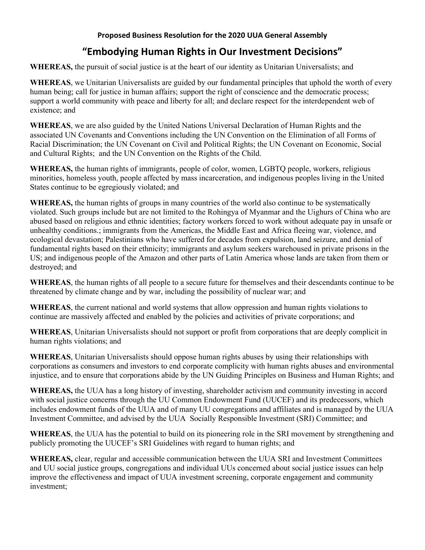## **Proposed Business Resolution for the 2020 UUA General Assembly**

## **"Embodying Human Rights in Our Investment Decisions"**

**WHEREAS,** the pursuit of social justice is at the heart of our identity as Unitarian Universalists; and

**WHEREAS**, we Unitarian Universalists are guided by our fundamental principles that uphold the worth of every human being; call for justice in human affairs; support the right of conscience and the democratic process; support a world community with peace and liberty for all; and declare respect for the interdependent web of existence; and

**WHEREAS**, we are also guided by the United Nations Universal Declaration of Human Rights and the associated UN Covenants and Conventions including the UN Convention on the Elimination of all Forms of Racial Discrimination; the UN Covenant on Civil and Political Rights; the UN Covenant on Economic, Social and Cultural Rights; and the UN Convention on the Rights of the Child.

**WHEREAS,** the human rights of immigrants, people of color, women, LGBTQ people, workers, religious minorities, homeless youth, people affected by mass incarceration, and indigenous peoples living in the United States continue to be egregiously violated; and

**WHEREAS,** the human rights of groups in many countries of the world also continue to be systematically violated. Such groups include but are not limited to the Rohingya of Myanmar and the Uighurs of China who are abused based on religious and ethnic identities; factory workers forced to work without adequate pay in unsafe or unhealthy conditions.; immigrants from the Americas, the Middle East and Africa fleeing war, violence, and ecological devastation; Palestinians who have suffered for decades from expulsion, land seizure, and denial of fundamental rights based on their ethnicity; immigrants and asylum seekers warehoused in private prisons in the US; and indigenous people of the Amazon and other parts of Latin America whose lands are taken from them or destroyed; and

**WHEREAS**, the human rights of all people to a secure future for themselves and their descendants continue to be threatened by climate change and by war, including the possibility of nuclear war; and

**WHEREAS**, the current national and world systems that allow oppression and human rights violations to continue are massively affected and enabled by the policies and activities of private corporations; and

**WHEREAS**, Unitarian Universalists should not support or profit from corporations that are deeply complicit in human rights violations; and

**WHEREAS**, Unitarian Universalists should oppose human rights abuses by using their relationships with corporations as consumers and investors to end corporate complicity with human rights abuses and environmental injustice, and to ensure that corporations abide by the UN Guiding Principles on Business and Human Rights; and

**WHEREAS,** the UUA has a long history of investing, shareholder activism and community investing in accord with social justice concerns through the UU Common Endowment Fund (UUCEF) and its predecessors, which includes endowment funds of the UUA and of many UU congregations and affiliates and is managed by the UUA Investment Committee, and advised by the UUA Socially Responsible Investment (SRI) Committee; and

**WHEREAS**, the UUA has the potential to build on its pioneering role in the SRI movement by strengthening and publicly promoting the UUCEF's SRI Guidelines with regard to human rights; and

**WHEREAS,** clear, regular and accessible communication between the UUA SRI and Investment Committees and UU social justice groups, congregations and individual UUs concerned about social justice issues can help improve the effectiveness and impact of UUA investment screening, corporate engagement and community investment;